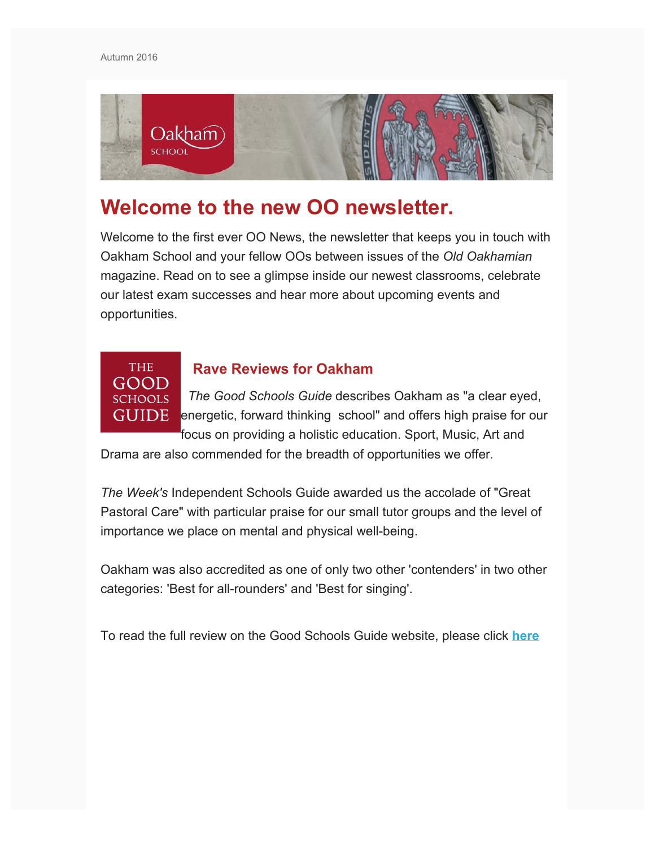

# **Welcome to the new OO newsletter.**

Welcome to the first ever OO News, the newsletter that keeps you in touch with Oakham School and your fellow OOs between issues of the *Old Oakhamian* magazine. Read on to see a glimpse inside our newest classrooms, celebrate our latest exam successes and hear more about upcoming events and opportunities.

## **THE** GOOD **SCHOOLS GUIDE**

## **Rave Reviews for Oakham**

 *The Good Schools Guide* describes Oakham as "a clear eyed, energetic, forward thinking school" and offers high praise for our focus on providing a holistic education. Sport, Music, Art and

Drama are also commended for the breadth of opportunities we offer.

*The Week's* Independent Schools Guide awarded us the accolade of "Great Pastoral Care" with particular praise for our small tutor groups and the level of importance we place on mental and physical well-being.

Oakham was also accredited as one of only two other 'contenders' in two other categories: 'Best for all-rounders' and 'Best for singing'.

To read the full review on the Good Schools Guide website, please click **[here](https://www.goodschoolsguide.co.uk/schools/102717/oakham-school/8F861A6#tab_review)**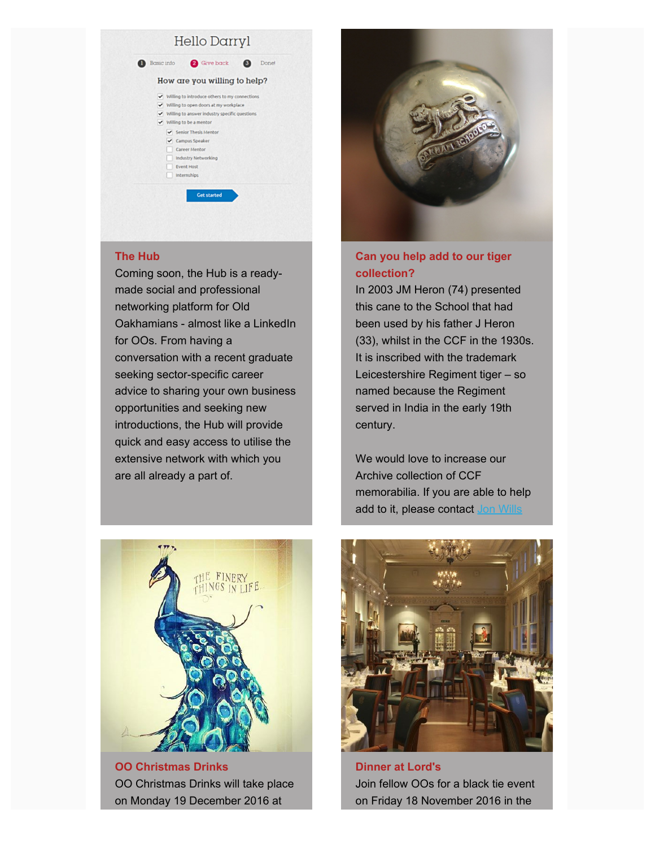#### Hello Darryl **Basic info** a Give back **@** Done! How are you willing to help?  $\overline{\smile}$  Willing to introduce others to my connections Willing to open doors at my workplace Willing to answer industry specific questions Willing to be a mentor Senior Thesis Mentor Campus Speaker Career Mentor Industry Networking Event Host Internships Get started

#### **The Hub**

Coming soon, the Hub is a readymade social and professional networking platform for Old Oakhamians - almost like a LinkedIn for OOs. From having a conversation with a recent graduate seeking sector-specific career advice to sharing your own business opportunities and seeking new introductions, the Hub will provide quick and easy access to utilise the extensive network with which you are all already a part of.



#### **Can you help add to our tiger collection?**

In 2003 JM Heron (74) presented this cane to the School that had been used by his father J Heron (33), whilst in the CCF in the 1930s. It is inscribed with the trademark Leicestershire Regiment tiger – so named because the Regiment served in India in the early 19th century.

We would love to increase our Archive collection of CCF memorabilia. If you are able to help add to it, please contact [Jon Wills](mailto:jw@oakham.rutland.sch.uk?subject=OO%20Archives%20(Newsletter%20request%20for%20memorabilia))



**OO Christmas Drinks** OO Christmas Drinks will take place on Monday 19 December 2016 at



**Dinner at Lord's** Join fellow OOs for a black tie event on Friday 18 November 2016 in the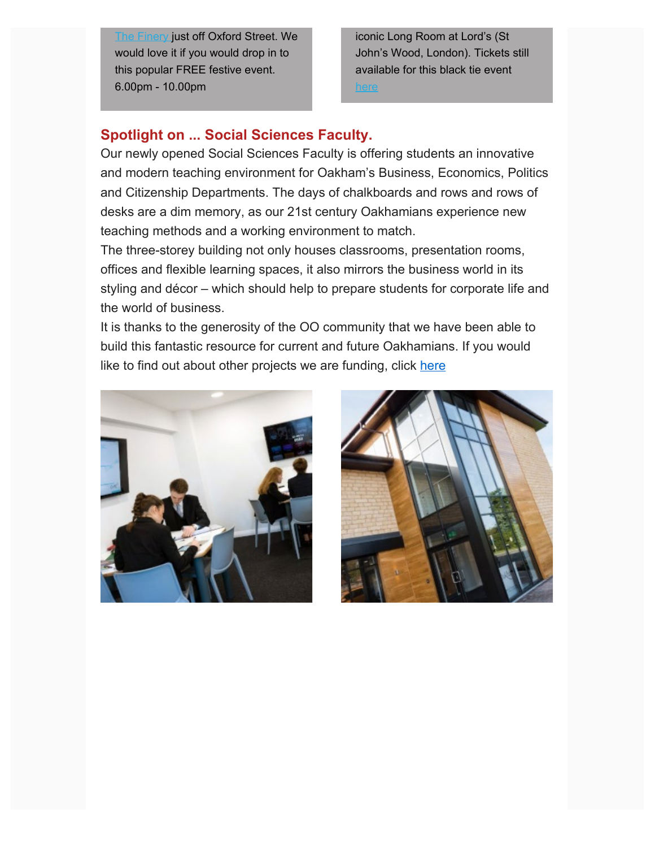**[The Finery](http://www.finery-oxfordcircus.co.uk/) just off Oxford Street. We** would love it if you would drop in to this popular FREE festive event. 6.00pm - 10.00pm

iconic Long Room at Lord's (St John's Wood, London). Tickets still available for this black tie event

## **Spotlight on ... Social Sciences Faculty.**

Our newly opened Social Sciences Faculty is offering students an innovative and modern teaching environment for Oakham's Business, Economics, Politics and Citizenship Departments. The days of chalkboards and rows and rows of desks are a dim memory, as our 21st century Oakhamians experience new teaching methods and a working environment to match.

The three-storey building not only houses classrooms, presentation rooms, offices and flexible learning spaces, it also mirrors the business world in its styling and décor – which should help to prepare students for corporate life and the world of business.

It is thanks to the generosity of the OO community that we have been able to build this fantastic resource for current and future Oakhamians. If you would like to find out about other projects we are funding, click [here](https://www.oakham.rutland.sch.uk/OOs_and_Foundation/Oakham_School_Foundation/How_you_can_help/How_to_donate.aspx)